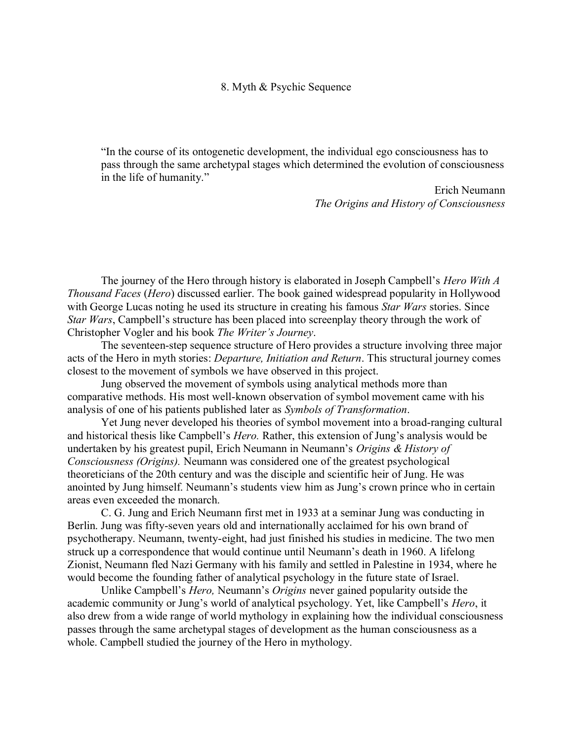## 8. Myth & Psychic Sequence

"In the course of its ontogenetic development, the individual ego consciousness has to pass through the same archetypal stages which determined the evolution of consciousness in the life of humanity."

> Erich Neumann *The Origins and History of Consciousness*

The journey of the Hero through history is elaborated in Joseph Campbell's *Hero With A Thousand Faces* (*Hero*) discussed earlier. The book gained widespread popularity in Hollywood with George Lucas noting he used its structure in creating his famous *Star Wars* stories. Since *Star Wars*, Campbell's structure has been placed into screenplay theory through the work of Christopher Vogler and his book *The Writer's Journey*.

The seventeen-step sequence structure of Hero provides a structure involving three major acts of the Hero in myth stories: *Departure, Initiation and Return*. This structural journey comes closest to the movement of symbols we have observed in this project.

Jung observed the movement of symbols using analytical methods more than comparative methods. His most well-known observation of symbol movement came with his analysis of one of his patients published later as *Symbols of Transformation*.

Yet Jung never developed his theories of symbol movement into a broad-ranging cultural and historical thesis like Campbell's *Hero.* Rather, this extension of Jung's analysis would be undertaken by his greatest pupil, Erich Neumann in Neumann's *Origins & History of Consciousness (Origins).* Neumann was considered one of the greatest psychological theoreticians of the 20th century and was the disciple and scientific heir of Jung. He was anointed by Jung himself. Neumann's students view him as Jung's crown prince who in certain areas even exceeded the monarch.

C. G. Jung and Erich Neumann first met in 1933 at a seminar Jung was conducting in Berlin. Jung was fifty-seven years old and internationally acclaimed for his own brand of psychotherapy. Neumann, twenty-eight, had just finished his studies in medicine. The two men struck up a correspondence that would continue until Neumann's death in 1960. A lifelong Zionist, Neumann fled Nazi Germany with his family and settled in Palestine in 1934, where he would become the founding father of analytical psychology in the future state of Israel.

Unlike Campbell's *Hero,* Neumann's *Origins* never gained popularity outside the academic community or Jung's world of analytical psychology. Yet, like Campbell's *Hero*, it also drew from a wide range of world mythology in explaining how the individual consciousness passes through the same archetypal stages of development as the human consciousness as a whole. Campbell studied the journey of the Hero in mythology.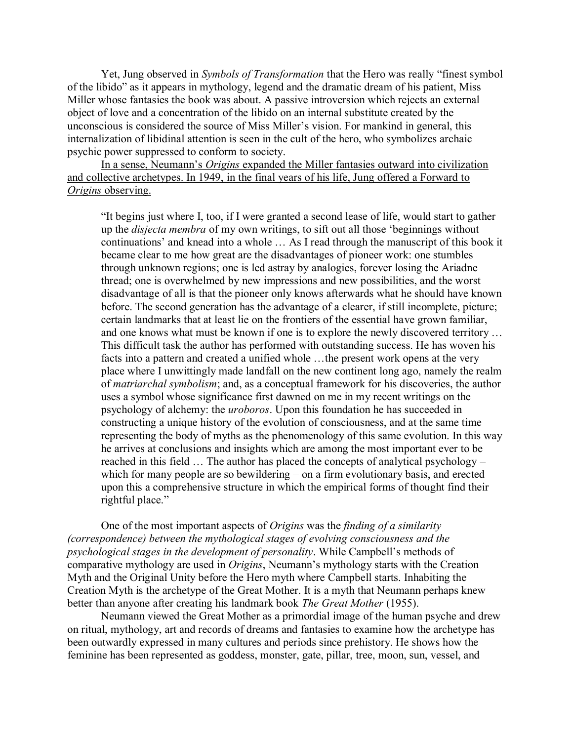Yet, Jung observed in *Symbols of Transformation* that the Hero was really "finest symbol of the libido" as it appears in mythology, legend and the dramatic dream of his patient, Miss Miller whose fantasies the book was about. A passive introversion which rejects an external object of love and a concentration of the libido on an internal substitute created by the unconscious is considered the source of Miss Miller's vision. For mankind in general, this internalization of libidinal attention is seen in the cult of the hero, who symbolizes archaic psychic power suppressed to conform to society.

In a sense, Neumann's *Origins* expanded the Miller fantasies outward into civilization and collective archetypes. In 1949, in the final years of his life, Jung offered a Forward to *Origins* observing.

"It begins just where I, too, if I were granted a second lease of life, would start to gather up the *disjecta membra* of my own writings, to sift out all those 'beginnings without continuations' and knead into a whole … As I read through the manuscript of this book it became clear to me how great are the disadvantages of pioneer work: one stumbles through unknown regions; one is led astray by analogies, forever losing the Ariadne thread; one is overwhelmed by new impressions and new possibilities, and the worst disadvantage of all is that the pioneer only knows afterwards what he should have known before. The second generation has the advantage of a clearer, if still incomplete, picture; certain landmarks that at least lie on the frontiers of the essential have grown familiar, and one knows what must be known if one is to explore the newly discovered territory … This difficult task the author has performed with outstanding success. He has woven his facts into a pattern and created a unified whole …the present work opens at the very place where I unwittingly made landfall on the new continent long ago, namely the realm of *matriarchal symbolism*; and, as a conceptual framework for his discoveries, the author uses a symbol whose significance first dawned on me in my recent writings on the psychology of alchemy: the *uroboros*. Upon this foundation he has succeeded in constructing a unique history of the evolution of consciousness, and at the same time representing the body of myths as the phenomenology of this same evolution. In this way he arrives at conclusions and insights which are among the most important ever to be reached in this field … The author has placed the concepts of analytical psychology – which for many people are so bewildering – on a firm evolutionary basis, and erected upon this a comprehensive structure in which the empirical forms of thought find their rightful place."

One of the most important aspects of *Origins* was the *finding of a similarity (correspondence) between the mythological stages of evolving consciousness and the psychological stages in the development of personality*. While Campbell's methods of comparative mythology are used in *Origins*, Neumann's mythology starts with the Creation Myth and the Original Unity before the Hero myth where Campbell starts. Inhabiting the Creation Myth is the archetype of the Great Mother. It is a myth that Neumann perhaps knew better than anyone after creating his landmark book *The Great Mother* (1955).

Neumann viewed the Great Mother as a primordial image of the human psyche and drew on ritual, mythology, art and records of dreams and fantasies to examine how the archetype has been outwardly expressed in many cultures and periods since prehistory. He shows how the feminine has been represented as goddess, monster, gate, pillar, tree, moon, sun, vessel, and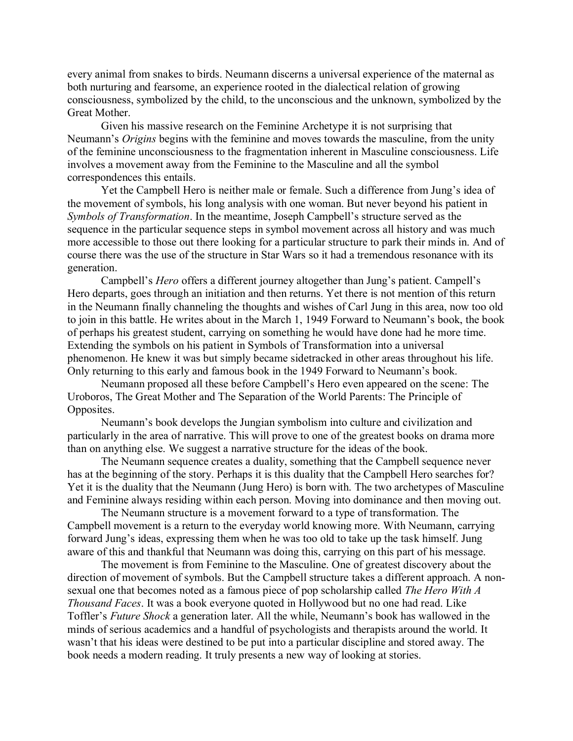every animal from snakes to birds. Neumann discerns a universal experience of the maternal as both nurturing and fearsome, an experience rooted in the dialectical relation of growing consciousness, symbolized by the child, to the unconscious and the unknown, symbolized by the Great Mother.

Given his massive research on the Feminine Archetype it is not surprising that Neumann's *Origins* begins with the feminine and moves towards the masculine, from the unity of the feminine unconsciousness to the fragmentation inherent in Masculine consciousness. Life involves a movement away from the Feminine to the Masculine and all the symbol correspondences this entails.

Yet the Campbell Hero is neither male or female. Such a difference from Jung's idea of the movement of symbols, his long analysis with one woman. But never beyond his patient in *Symbols of Transformation*. In the meantime, Joseph Campbell's structure served as the sequence in the particular sequence steps in symbol movement across all history and was much more accessible to those out there looking for a particular structure to park their minds in. And of course there was the use of the structure in Star Wars so it had a tremendous resonance with its generation.

Campbell's *Hero* offers a different journey altogether than Jung's patient. Campell's Hero departs, goes through an initiation and then returns. Yet there is not mention of this return in the Neumann finally channeling the thoughts and wishes of Carl Jung in this area, now too old to join in this battle. He writes about in the March 1, 1949 Forward to Neumann's book, the book of perhaps his greatest student, carrying on something he would have done had he more time. Extending the symbols on his patient in Symbols of Transformation into a universal phenomenon. He knew it was but simply became sidetracked in other areas throughout his life. Only returning to this early and famous book in the 1949 Forward to Neumann's book.

Neumann proposed all these before Campbell's Hero even appeared on the scene: The Uroboros, The Great Mother and The Separation of the World Parents: The Principle of Opposites.

Neumann's book develops the Jungian symbolism into culture and civilization and particularly in the area of narrative. This will prove to one of the greatest books on drama more than on anything else. We suggest a narrative structure for the ideas of the book.

The Neumann sequence creates a duality, something that the Campbell sequence never has at the beginning of the story. Perhaps it is this duality that the Campbell Hero searches for? Yet it is the duality that the Neumann (Jung Hero) is born with. The two archetypes of Masculine and Feminine always residing within each person. Moving into dominance and then moving out.

The Neumann structure is a movement forward to a type of transformation. The Campbell movement is a return to the everyday world knowing more. With Neumann, carrying forward Jung's ideas, expressing them when he was too old to take up the task himself. Jung aware of this and thankful that Neumann was doing this, carrying on this part of his message.

The movement is from Feminine to the Masculine. One of greatest discovery about the direction of movement of symbols. But the Campbell structure takes a different approach. A nonsexual one that becomes noted as a famous piece of pop scholarship called *The Hero With A Thousand Faces*. It was a book everyone quoted in Hollywood but no one had read. Like Toffler's *Future Shock* a generation later. All the while, Neumann's book has wallowed in the minds of serious academics and a handful of psychologists and therapists around the world. It wasn't that his ideas were destined to be put into a particular discipline and stored away. The book needs a modern reading. It truly presents a new way of looking at stories.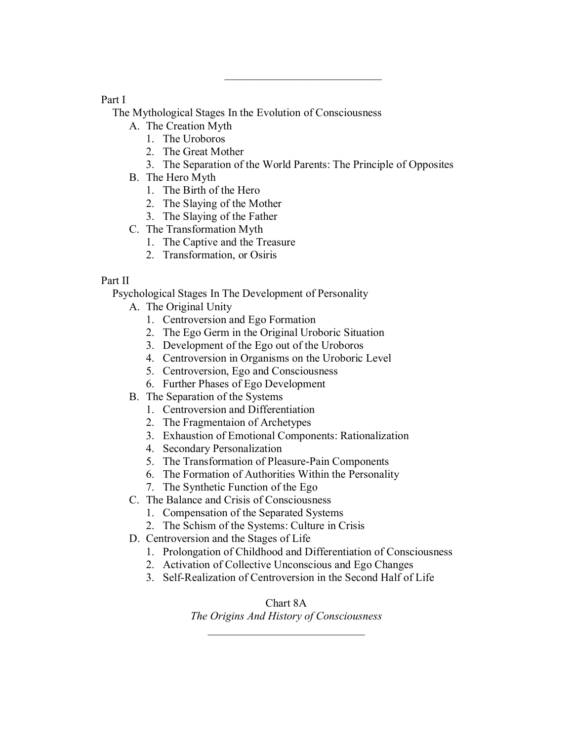## Part I

The Mythological Stages In the Evolution of Consciousness

- A. The Creation Myth
	- 1. The Uroboros
	- 2. The Great Mother
	- 3. The Separation of the World Parents: The Principle of Opposites
- B. The Hero Myth
	- 1. The Birth of the Hero
	- 2. The Slaying of the Mother
	- 3. The Slaying of the Father
- C. The Transformation Myth
	- 1. The Captive and the Treasure
	- 2. Transformation, or Osiris

## Part II

Psychological Stages In The Development of Personality

- A. The Original Unity
	- 1. Centroversion and Ego Formation
	- 2. The Ego Germ in the Original Uroboric Situation
	- 3. Development of the Ego out of the Uroboros
	- 4. Centroversion in Organisms on the Uroboric Level
	- 5. Centroversion, Ego and Consciousness
	- 6. Further Phases of Ego Development
- B. The Separation of the Systems
	- 1. Centroversion and Differentiation
	- 2. The Fragmentaion of Archetypes
	- 3. Exhaustion of Emotional Components: Rationalization
	- 4. Secondary Personalization
	- 5. The Transformation of Pleasure-Pain Components
	- 6. The Formation of Authorities Within the Personality
	- 7. The Synthetic Function of the Ego
- C. The Balance and Crisis of Consciousness
	- 1. Compensation of the Separated Systems
	- 2. The Schism of the Systems: Culture in Crisis
- D. Centroversion and the Stages of Life
	- 1. Prolongation of Childhood and Differentiation of Consciousness
	- 2. Activation of Collective Unconscious and Ego Changes
	- 3. Self-Realization of Centroversion in the Second Half of Life

Chart 8A

*The Origins And History of Consciousness*  $\mathcal{L}_\text{max}$  , where  $\mathcal{L}_\text{max}$  , we have the set of the set of the set of the set of the set of the set of the set of the set of the set of the set of the set of the set of the set of the set of the set of the set of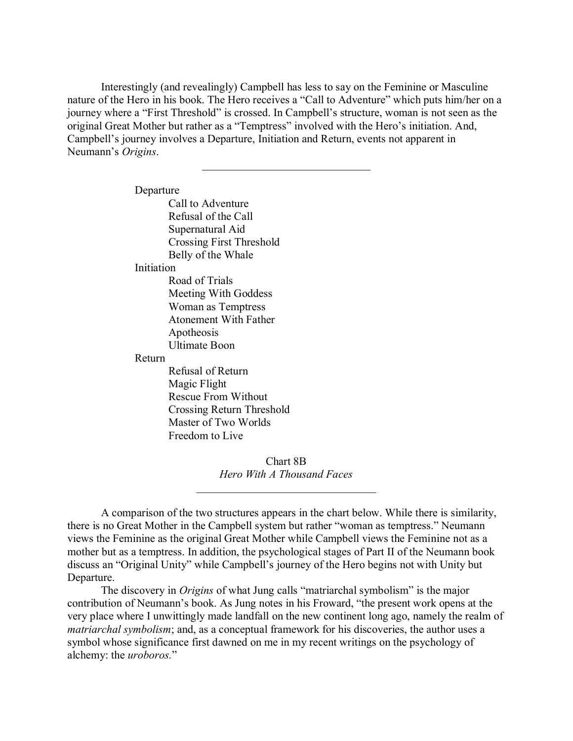Interestingly (and revealingly) Campbell has less to say on the Feminine or Masculine nature of the Hero in his book. The Hero receives a "Call to Adventure" which puts him/her on a journey where a "First Threshold" is crossed. In Campbell's structure, woman is not seen as the original Great Mother but rather as a "Temptress" involved with the Hero's initiation. And, Campbell's journey involves a Departure, Initiation and Return, events not apparent in Neumann's *Origins*.

 $\mathcal{L}_\text{max}$  , where  $\mathcal{L}_\text{max}$  and  $\mathcal{L}_\text{max}$  and  $\mathcal{L}_\text{max}$ 

Departure Call to Adventure Refusal of the Call Supernatural Aid Crossing First Threshold Belly of the Whale Initiation Road of Trials

Meeting With Goddess Woman as Temptress Atonement With Father Apotheosis Ultimate Boon

Return

Refusal of Return Magic Flight Rescue From Without Crossing Return Threshold Master of Two Worlds Freedom to Live

> Chart 8B *Hero With A Thousand Faces*

 $\mathcal{L}_\text{max}$  , where  $\mathcal{L}_\text{max}$  is the set of the set of the set of the set of the set of the set of the set of the set of the set of the set of the set of the set of the set of the set of the set of the set of the se

A comparison of the two structures appears in the chart below. While there is similarity, there is no Great Mother in the Campbell system but rather "woman as temptress." Neumann views the Feminine as the original Great Mother while Campbell views the Feminine not as a mother but as a temptress. In addition, the psychological stages of Part II of the Neumann book discuss an "Original Unity" while Campbell's journey of the Hero begins not with Unity but Departure.

The discovery in *Origins* of what Jung calls "matriarchal symbolism" is the major contribution of Neumann's book. As Jung notes in his Froward, "the present work opens at the very place where I unwittingly made landfall on the new continent long ago, namely the realm of *matriarchal symbolism*; and, as a conceptual framework for his discoveries, the author uses a symbol whose significance first dawned on me in my recent writings on the psychology of alchemy: the *uroboros.*"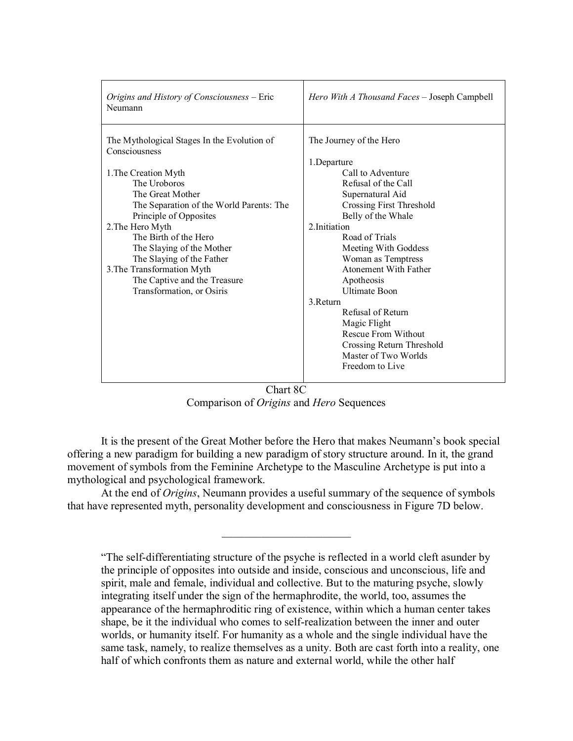| Origins and History of Consciousness – Eric<br>Neumann                                                                                                                                                                                                                                                                                                                                           | Hero With A Thousand Faces - Joseph Campbell                                                                                                                                                                                                                                                                                                                                                                                                                    |
|--------------------------------------------------------------------------------------------------------------------------------------------------------------------------------------------------------------------------------------------------------------------------------------------------------------------------------------------------------------------------------------------------|-----------------------------------------------------------------------------------------------------------------------------------------------------------------------------------------------------------------------------------------------------------------------------------------------------------------------------------------------------------------------------------------------------------------------------------------------------------------|
| The Mythological Stages In the Evolution of<br>Consciousness<br>1. The Creation Myth<br>The Uroboros<br>The Great Mother<br>The Separation of the World Parents: The<br>Principle of Opposites<br>2. The Hero Myth<br>The Birth of the Hero<br>The Slaying of the Mother<br>The Slaying of the Father<br>3. The Transformation Myth<br>The Captive and the Treasure<br>Transformation, or Osiris | The Journey of the Hero<br>1.Departure<br>Call to Adventure<br>Refusal of the Call<br>Supernatural Aid<br><b>Crossing First Threshold</b><br>Belly of the Whale<br>2 Initiation<br>Road of Trials<br>Meeting With Goddess<br>Woman as Temptress<br>Atonement With Father<br>Apotheosis<br><b>Ultimate Boon</b><br>3. Return<br>Refusal of Return<br>Magic Flight<br>Rescue From Without<br>Crossing Return Threshold<br>Master of Two Worlds<br>Freedom to Live |

Chart 8C Comparison of *Origins* and *Hero* Sequences

It is the present of the Great Mother before the Hero that makes Neumann's book special offering a new paradigm for building a new paradigm of story structure around. In it, the grand movement of symbols from the Feminine Archetype to the Masculine Archetype is put into a mythological and psychological framework.

At the end of *Origins*, Neumann provides a useful summary of the sequence of symbols that have represented myth, personality development and consciousness in Figure 7D below.

 $\mathcal{L}_\text{max}$  , where  $\mathcal{L}_\text{max}$  , we have the set of  $\mathcal{L}_\text{max}$ 

"The self-differentiating structure of the psyche is reflected in a world cleft asunder by the principle of opposites into outside and inside, conscious and unconscious, life and spirit, male and female, individual and collective. But to the maturing psyche, slowly integrating itself under the sign of the hermaphrodite, the world, too, assumes the appearance of the hermaphroditic ring of existence, within which a human center takes shape, be it the individual who comes to self-realization between the inner and outer worlds, or humanity itself. For humanity as a whole and the single individual have the same task, namely, to realize themselves as a unity. Both are cast forth into a reality, one half of which confronts them as nature and external world, while the other half